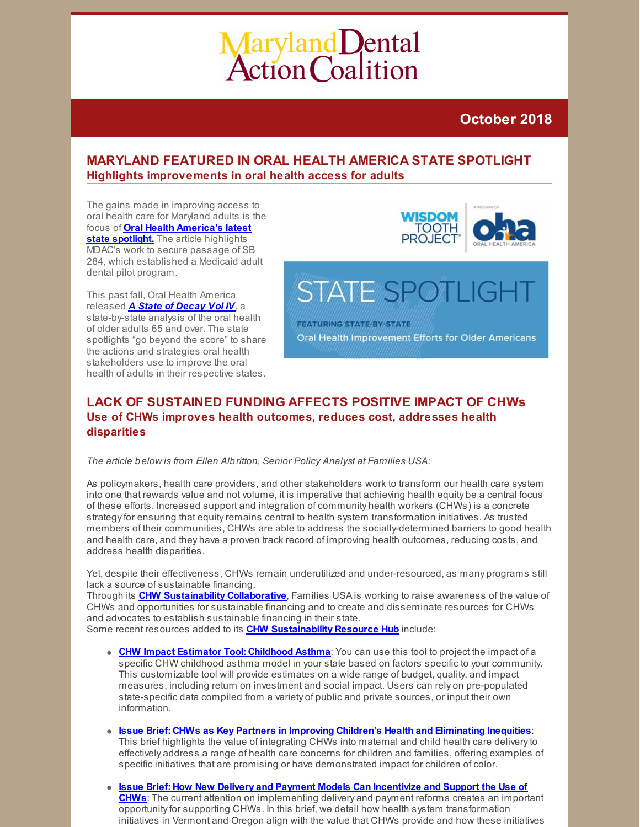# Maryland Dental<br>Action Coalition

# **October 2018**

# **MARYLAND FEATURED IN ORAL HEALTH AMERICA STATE SPOTLIGHT Highlights improvements in oral health access for adults**

The gains made in improving access to oral health care for Maryland adults is the focus of **Oral Health [America's](https://oralhealthamerica.org/astateofdecay/spotlights/2018/state-spotlight-maryland/) latest state spotlight.** The article highlights MDAC's work to secure passage of SB 284, which established a Medicaid adult dental pilot program.

This past fall, Oral Health America released *A State of [Decay](https://oralhealthamerica.org/astateofdecay/) Vol IV*, a state-by-state analysis of the oral health of older adults 65 and over. The state spotlights "go beyond the score" to share the actions and strategies oral health stakeholders use to improve the oral health of adults in their respective states.



# **STATE SPOTLI**

**FEATURING STATE-BY-STATE** Oral Health Improvement Efforts for Older Americans

# **LACK OF SUSTAINED FUNDING AFFECTS POSITIVE IMPACT OF CHWs Use of CHWs improves health outcomes, reduces cost, addresses health disparities**

*The article below is from Ellen Albritton, Senior Policy Analyst at Families USA:*

As policymakers, health care providers, and other stakeholders work to transform our health care system into one that rewards value and not volume, it is imperative that achieving health equity be a central focus of these efforts. Increased support and integration of community health workers (CHWs) is a concrete strategy for ensuring that equity remains central to health system transformation initiatives. As trusted members of their communities, CHWs are able to address the socially-determined barriers to good health and health care, and they have a proven track record of improving health outcomes, reducing costs, and address health disparities.

Yet, despite their effectiveness, CHWs remain underutilized and under-resourced, as many programs still lack a source of sustainable financing.

Through its **CHW [Sustainability](https://familiesusa.org/initiatives/community-health-worker-sustainability-collaborative) Collaborative**, Families USA is working to raise awareness of the value of CHWs and opportunities for sustainable financing and to create and disseminate resources for CHWs and advocates to establish sustainable financing in their state.

Some recent resources added to its **CHW [Sustainability](https://familiesusa.org/community-health-worker-collaborative-resource-hub) Resource Hub** include:

- **CHW Impact Estimator Tool: [Childhood](https://familiesusa.org/product/community-health-worker-impact-estimator-tool-childhood-asthma) Asthma**: You can use this tool to project the impact of a specific CHW childhood asthma model in your state based on factors specific to your community. This customizable tool will provide estimates on a wide range of budget, quality, and impact measures, including return on investment and social impact. Users can rely on pre-populated state-specific data compiled from a variety of public and private sources, or input their own information.
- **Issue Brief: CHWs as Key Partners in Improving Children's Health and [Eliminating](https://familiesusa.org/product/community-health-workers-key-partners-improving-childrens-health-and-eliminating-inequities) Inequities**: This brief highlights the value of integrating CHWs into maternal and child health care deliveryto effectively address a range of health care concerns for children and families, offering examples of specific initiatives that are promising or have demonstrated impact for children of color.
- **Issue Brief: How New Delivery and Payment Models Can Incentivize and Support the Use of CHWs**: The current attention on [implementing](https://familiesusa.org/product/community-health-workers-delivery-and-payment-transformation-how-new-delivery-and-payment) delivery and payment reforms creates an important opportunityfor supporting CHWs. In this brief, we detail how health system transformation initiatives in Vermont and Oregon align with the value that CHWs provide and how these initiatives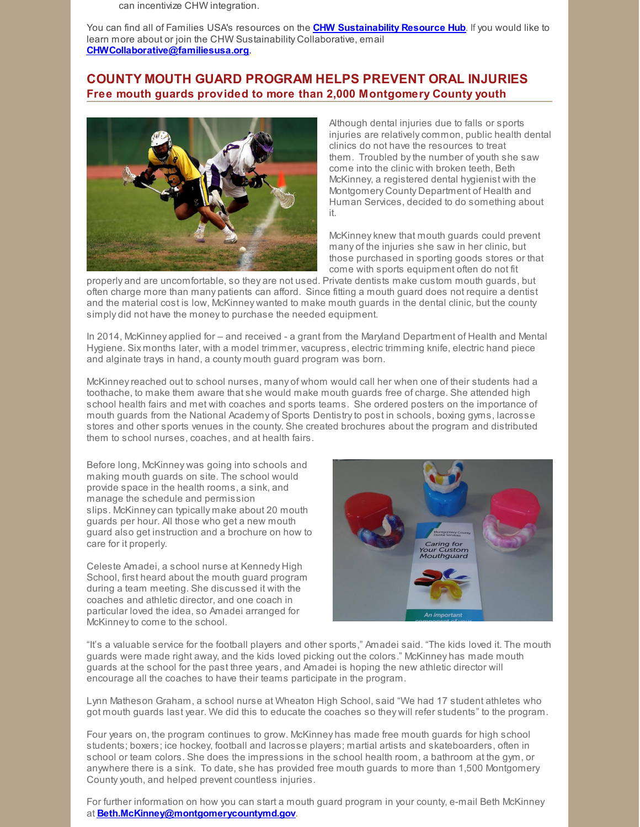can incentivize CHW integration.

You can find all of Families USA's resources on the **CHW [Sustainability](https://familiesusa.org/community-health-worker-collaborative-resource-hub) Resource Hub**. If you would like to learn more about or join the CHW Sustainability Collaborative, email **[CHWCollaborative@familiesusa.org](mailto:CHWCollaborative@familiesusa.org)**.

# **COUNTY MOUTH GUARD PROGRAM HELPS PREVENT ORAL INJURIES Free mouth guards provided to more than 2,000 Montgomery County youth**



Although dental injuries due to falls or sports injuries are relatively common, public health dental clinics do not have the resources to treat them. Troubled bythe number of youth she saw come into the clinic with broken teeth, Beth McKinney, a registered dental hygienist with the Montgomery County Department of Health and Human Services, decided to do something about it.

McKinney knew that mouth guards could prevent many of the injuries she saw in her clinic, but those purchased in sporting goods stores or that come with sports equipment often do not fit

properly and are uncomfortable, so they are not used. Private dentists make custom mouth guards, but often charge more than many patients can afford. Since fitting a mouth guard does not require a dentist and the material cost is low, McKinney wanted to make mouth guards in the dental clinic, but the county simply did not have the money to purchase the needed equipment.

In 2014, McKinney applied for – and received - a grant from the Maryland Department of Health and Mental Hygiene. Six months later, with a model trimmer, vacupress, electric trimming knife, electric hand piece and alginate trays in hand, a county mouth guard program was born.

McKinneyreached out to school nurses, many of whom would call her when one of their students had a toothache, to make them aware that she would make mouth guards free of charge. She attended high school health fairs and met with coaches and sports teams. She ordered posters on the importance of mouth guards from the National Academy of Sports Dentistryto post in schools, boxing gyms, lacrosse stores and other sports venues in the county. She created brochures about the program and distributed them to school nurses, coaches, and at health fairs.

Before long, McKinney was going into schools and making mouth guards on site. The school would provide space in the health rooms, a sink, and manage the schedule and permission slips. McKinneycan typically make about 20 mouth guards per hour. All those who get a new mouth guard also get instruction and a brochure on how to care for it properly.

Celeste Amadei, a school nurse at Kennedy High School, first heard about the mouth guard program during a team meeting. She discussed it with the coaches and athletic director, and one coach in particular loved the idea, so Amadei arranged for McKinneyto come to the school.



"It's a valuable service for the football players and other sports," Amadei said. "The kids loved it. The mouth guards were made right away, and the kids loved picking out the colors." McKinney has made mouth guards at the school for the past three years, and Amadei is hoping the new athletic director will encourage all the coaches to have their teams participate in the program.

Lynn Matheson Graham, a school nurse at Wheaton High School, said "We had 17 student athletes who got mouth guards last year. We did this to educate the coaches so they will refer students" to the program.

Four years on, the program continues to grow. McKinney has made free mouth guards for high school students; boxers; ice hockey, football and lacrosse players; martial artists and skateboarders, often in school or team colors. She does the impressions in the school health room, a bathroom at the gym, or anywhere there is a sink. To date, she has provided free mouth guards to more than 1,500 Montgomery Countyyouth, and helped prevent countless injuries.

For further information on how you can start a mouth guard program in your county, e-mail Beth McKinney at **[Beth.McKinney@montgomerycountymd.gov](mailto:Beth.McKinney@montgomerycountymd.gov)**.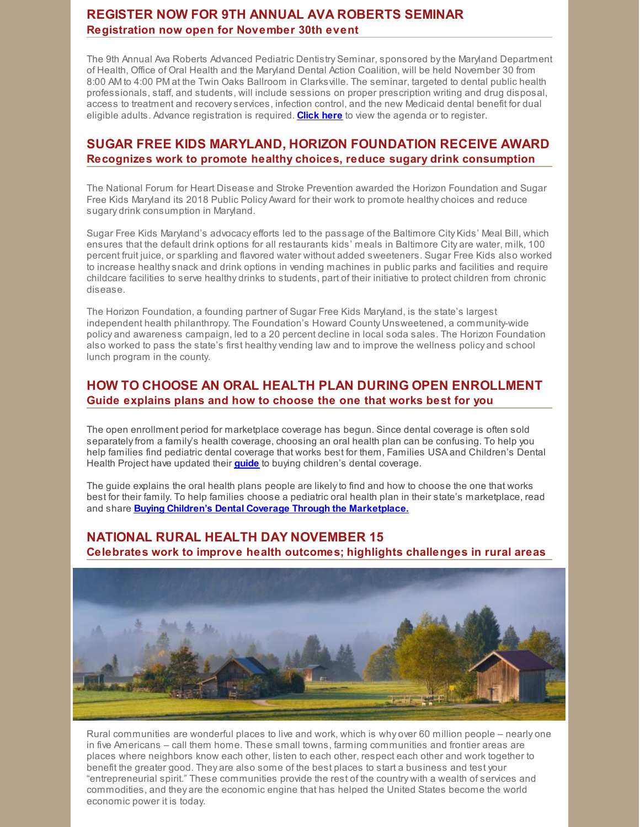# **REGISTER NOW FOR 9TH ANNUAL AVA ROBERTS SEMINAR Registration now open for November 30th event**

The 9th Annual Ava Roberts Advanced Pediatric Dentistry Seminar, sponsored bythe Maryland Department of Health, Office of Oral Health and the Maryland Dental Action Coalition, will be held November 30 from 8:00 AM to 4:00 PM at the Twin Oaks Ballroom in Clarksville. The seminar, targeted to dental public health professionals, staff, and students, will include sessions on proper prescription writing and drug disposal, access to treatment and recoveryservices, infection control, and the new Medicaid dental benefit for dual eligible adults. Advance registration is required. **[Click](https://www.eventbrite.com/e/9th-annual-ava-roberts-advanced-pediatric-dentistry-seminar-tickets-51418282467) here** to view the agenda or to register.

# **SUGAR FREE KIDS MARYLAND, HORIZON FOUNDATION RECEIVE AWARD Recognizes work to promote healthy choices, reduce sugary drink consumption**

The National Forum for Heart Disease and Stroke Prevention awarded the Horizon Foundation and Sugar Free Kids Maryland its 2018 Public Policy Award for their work to promote healthychoices and reduce sugary drink consumption in Maryland.

Sugar Free Kids Maryland's advocacy efforts led to the passage of the Baltimore City Kids' Meal Bill, which ensures that the default drink options for all restaurants kids' meals in Baltimore City are water, milk, 100 percent fruit juice, or sparkling and flavored water without added sweeteners. Sugar Free Kids also worked to increase healthysnack and drink options in vending machines in public parks and facilities and require childcare facilities to serve healthy drinks to students, part of their initiative to protect children from chronic disease.

The Horizon Foundation, a founding partner of Sugar Free Kids Maryland, is the state's largest independent health philanthropy. The Foundation's Howard County Unsweetened, a community-wide policy and awareness campaign, led to a 20 percent decline in local soda sales. The Horizon Foundation also worked to pass the state's first healthyvending law and to improve the wellness policy and school lunch program in the county.

# **HOW TO CHOOSE AN ORAL HEALTH PLAN DURING OPEN ENROLLMENT Guide explains plans and how to choose the one that works best for you**

The open enrollment period for marketplace coverage has begun. Since dental coverage is often sold separatelyfrom a family's health coverage, choosing an oral health plan can be confusing. To help you help families find pediatric dental cover[a](https://familiesusa.org/product/buying-childrens-dental-coverage-through-marketplace)ge that works best for them, Families USA and Children's Dental Health Project have updated their **[guide](https://familiesusa.org/product/buying-childrens-dental-coverage-through-marketplace)** to buying children's dental coverage.

The guide explains the oral health plans people are likelyto find and how to choose the one that works best for their family. To help families choose a pediatric oral health plan in their state's marketplace, read and share **Buying Children's Dental Coverage Through the [Marketplace.](https://familiesusa.org/sites/default/files/product_documents/Health Insurance Basics_Chosing_BuyingChildrensDental_101818.pdf)**

# **NATIONAL RURAL HEALTH DAY NOVEMBER 15**

**Celebrates work to improve health outcomes; highlights challenges in rural areas**



Rural communities are wonderful places to live and work, which is why over 60 million people – nearly one in five Americans – call them home. These small towns, farming communities and frontier areas are places where neighbors know each other, listen to each other, respect each other and work together to benefit the greater good. They are also some of the best places to start a business and test your "entrepreneurial spirit." These communities provide the rest of the country with a wealth of services and commodities, and they are the economic engine that has helped the United States become the world economic power it is today.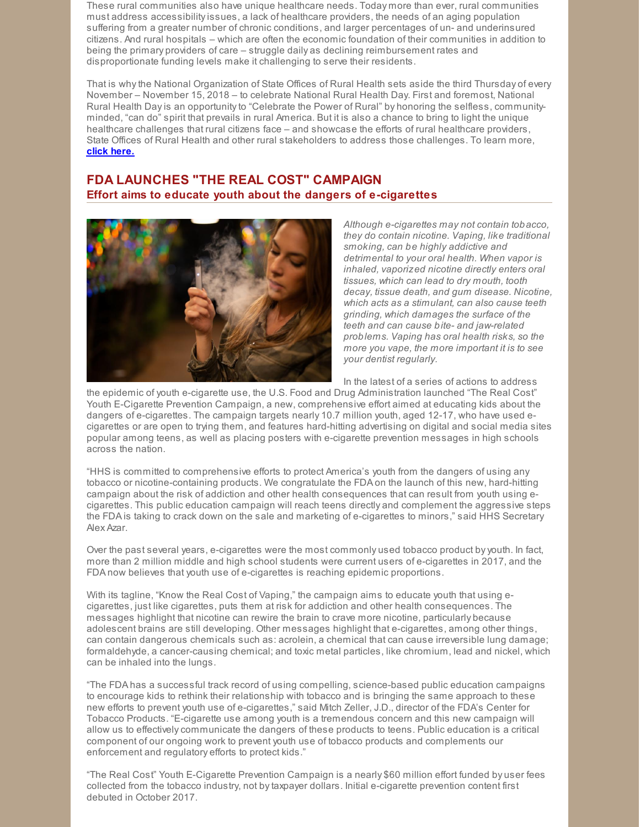These rural communities also have unique healthcare needs. Today more than ever, rural communities must address accessibilityissues, a lack of healthcare providers, the needs of an aging population suffering from a greater number of chronic conditions, and larger percentages of un- and underinsured citizens. And rural hospitals – which are often the economic foundation of their communities in addition to being the primary providers of care – struggle daily as declining reimbursement rates and disproportionate funding levels make it challenging to serve their residents.

That is whythe National Organization of State Offices of Rural Health sets aside the third Thursday of every November – November 15, 2018 – to celebrate National Rural Health Day. First and foremost, National Rural Health Dayis an opportunityto "Celebrate the Power of Rural" by honoring the selfless, communityminded, "can do" spirit that prevails in rural America. But it is also a chance to bring to light the unique healthcare challenges that rural citizens face – and showcase the efforts of rural healthcare providers, State Offices of Rural Health and other rural stakeholders to address those challenges. To learn more, **click [here.](http://www.powerofrural.org/)**

# **FDA LAUNCHES "THE REAL COST" CAMPAIGN Effort aims to educate youth about the dangers of e-cigarettes**



*Although e-cigarettes may not contain tobacco, they do contain nicotine. Vaping, like traditional smoking, can be highly addictive and detrimental to your oral health. When vapor is inhaled, vaporized nicotine directly enters oral tissues, which can lead to dry mouth, tooth decay, tissue death, and gum disease. Nicotine, which acts as a stimulant, can also cause teeth grinding, which damages the surface of the teeth and can cause bite- and jaw-related problems. Vaping has oral health risks, so the more you vape, the more important it is to see your dentist regularly.*

In the latest of a series of actions to address

the epidemic of youth e-cigarette use, the U.S. Food and Drug Administration launched "The Real Cost" Youth E-Cigarette Prevention Campaign, a new, comprehensive effort aimed at educating kids about the dangers of e-cigarettes. The campaign targets nearly 10.7 million youth, aged 12-17, who have used ecigarettes or are open to trying them, and features hard-hitting advertising on digital and social media sites popular among teens, as well as placing posters with e-cigarette prevention messages in high schools across the nation.

"HHS is committed to comprehensive efforts to protect America's youth from the dangers of using any tobacco or nicotine-containing products. We congratulate the FDA on the launch of this new, hard-hitting campaign about the risk of addiction and other health consequences that can result from youth using ecigarettes. This public education campaign will reach teens directly and complement the aggressive steps the FDA is taking to crack down on the sale and marketing of e-cigarettes to minors," said HHS Secretary Alex Azar.

Over the past several years, e-cigarettes were the most commonly used tobacco product byyouth. In fact, more than 2 million middle and high school students were current users of e-cigarettes in 2017, and the FDA now believes that youth use of e-cigarettes is reaching epidemic proportions.

With its tagline, "Know the Real Cost of Vaping," the campaign aims to educate youth that using ecigarettes, just like cigarettes, puts them at risk for addiction and other health consequences. The messages highlight that nicotine can rewire the brain to crave more nicotine, particularly because adolescent brains are still developing. Other messages highlight that e-cigarettes, among other things, can contain dangerous chemicals such as: acrolein, a chemical that can cause irreversible lung damage; formaldehyde, a cancer-causing chemical; and toxic metal particles, like chromium, lead and nickel, which can be inhaled into the lungs.

"The FDA has a successful track record of using compelling, science-based public education campaigns to encourage kids to rethink their relationship with tobacco and is bringing the same approach to these new efforts to prevent youth use of e-cigarettes," said Mitch Zeller, J.D., director of the FDA's Center for Tobacco Products. "E-cigarette use among youth is a tremendous concern and this new campaign will allow us to effectively communicate the dangers of these products to teens. Public education is a critical component of our ongoing work to prevent youth use of tobacco products and complements our enforcement and regulatory efforts to protect kids."

"The Real Cost" Youth E-Cigarette Prevention Campaign is a nearly \$60 million effort funded by user fees collected from the tobacco industry, not bytaxpayer dollars. Initial e-cigarette prevention content first debuted in October 2017.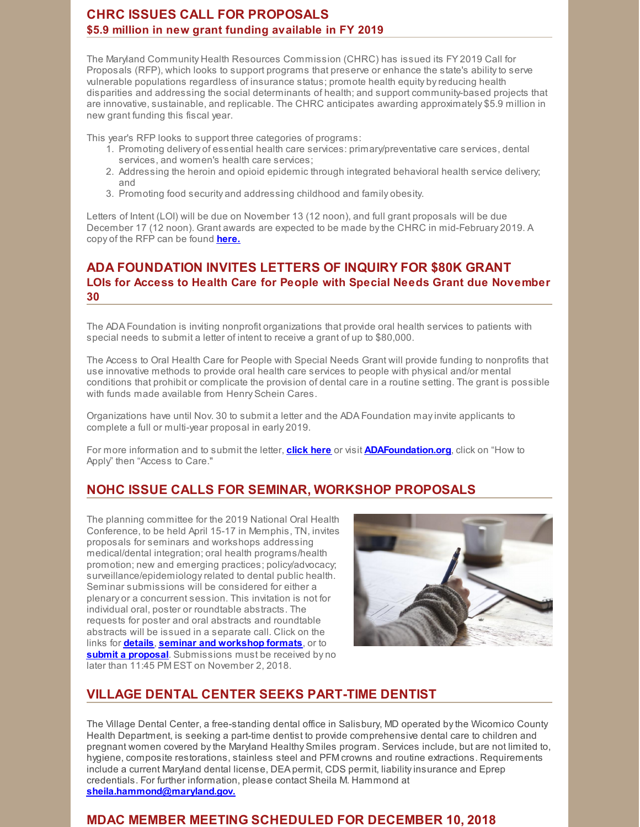# **CHRC ISSUES CALL FOR PROPOSALS \$5.9 million in new grant funding available in FY 2019**

The Maryland Community Health Resources Commission (CHRC) has issued its FY 2019 Call for Proposals (RFP), which looks to support programs that preserve or enhance the state's abilityto serve vulnerable populations regardless of insurance status; promote health equity byreducing health disparities and addressing the social determinants of health; and support community-based projects that are innovative, sustainable, and replicable. The CHRC anticipates awarding approximately \$5.9 million in new grant funding this fiscal year.

This year's RFP looks to support three categories of programs:

- 1. Promoting delivery of essential health care services: primary/preventative care services, dental services, and women's health care services;
- 2. Addressing the heroin and opioid epidemic through integrated behavioral health service delivery; and
- 3. Promoting food security and addressing childhood and family obesity.

Letters of Intent (LOI) will be due on November 13 (12 noon), and full grant proposals will be due December 17 (12 noon). Grant awards are expected to be made bythe CHRC in mid-February 2019. A copy of the RFP can be found **[here.](https://health.maryland.gov/mchrc/Pages/notices.aspx.)**

# **ADA FOUNDATION INVITES LETTERS OF INQUIRY FOR \$80K GRANT LOIs for Access to Health Care for People with Special Needs Grant due November 30**

The ADA Foundation is inviting nonprofit organizations that provide oral health services to patients with special needs to submit a letter of intent to receive a grant of up to \$80,000.

The Access to Oral Health Care for People with Special Needs Grant will provide funding to nonprofits that use innovative methods to provide oral health care services to people with physical and/or mental conditions that prohibit or complicate the provision of dental care in a routine setting. The grant is possible with funds made available from Henry Schein Cares.

Organizations have until Nov. 30 to submit a letter and the ADA Foundation mayinvite applicants to complete a full or multi-year proposal in early 2019.

For more information and to submit the letter, **[click](https://www.adafoundation.org/en/how-to-apply/access-to-care#specialneeds) here** or visit **[ADAFoundation.org](http://www.adafoundation.org)**, click on "How to Apply" then "Access to Care."

# **NOHC ISSUE CALLS FOR SEMINAR, WORKSHOP PROPOSALS**

The planning committee for the 2019 National Oral Health Conference, to be held April 15-17 in Memphis, TN, invites proposals for seminars and workshops addressing medical/dental integration; oral health programs/health promotion; new and emerging practices; policy/advocacy; surveillance/epidemiologyrelated to dental public health. Seminar submissions will be considered for either a plenary or a concurrent session. This invitation is not for individual oral, poster or roundtable abstracts. The requests for poster and oral abstracts and roundtable abstracts will be issued in a separate call. Click on the links for **[details](https://www.astdd.org/docs/2019_Call_for_Seminar_and_Workshop_Final.pdf)**, **seminar and [workshop](https://www.astdd.org/docs/2019_Seminar_and_Workshop_Session_Formats.pdf) formats**, or to **submit a [proposal](https://www.conferenceabstracts.com/cfp2/login.asp?EventKey=NSEDXPRL)**. Submissions must be received by no later than 11:45 PM EST on November 2, 2018.



# **VILLAGE DENTAL CENTER SEEKS PART-TIME DENTIST**

The Village Dental Center, a free-standing dental office in Salisbury, MD operated bythe Wicomico County Health Department, is seeking a part-time dentist to provide comprehensive dental care to children and pregnant women covered bythe Maryland Healthy Smiles program. Services include, but are not limited to, hygiene, composite restorations, stainless steel and PFM crowns and routine extractions. Requirements include a current Maryland dental license, DEA permit, CDS permit, liabilityinsurance and Eprep credentials. For further information, please contact Sheila M. Hammond at **[sheila.hammond@maryland.gov.](mailto:sheila.hammond@maryland.gov)**

# **MDAC MEMBER MEETING SCHEDULED FOR DECEMBER 10, 2018**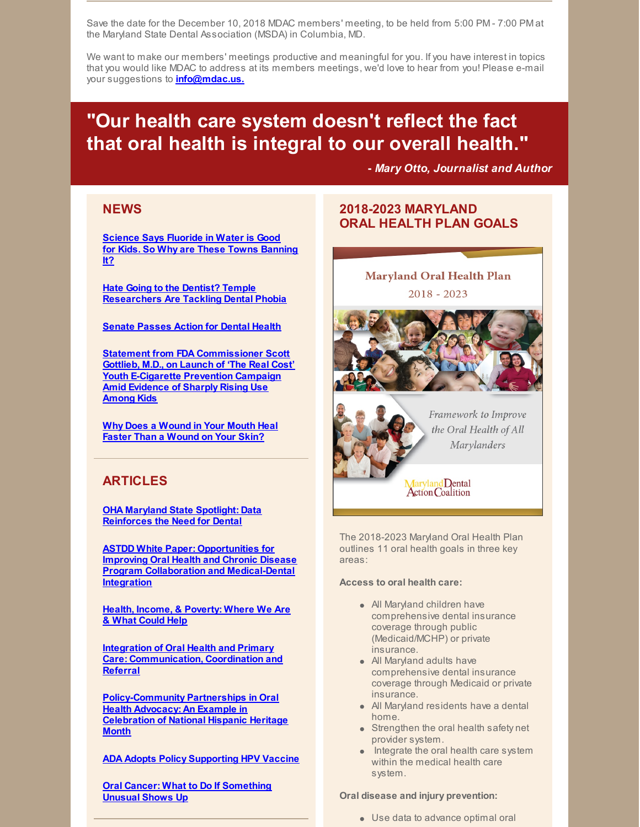Save the date for the December 10, 2018 MDAC members' meeting, to be held from 5:00 PM - 7:00 PM at the Maryland State Dental Association (MSDA) in Columbia, MD.

We want to make our members' meetings productive and meaningful for you. If you have interest in topics that you would like MDAC to address at its members meetings, we'd love to hear from you! Please e-mail your suggestions to **[info@mdac.us.](mailto:info@mdac.us)**

# **"Our health care system doesn't reflect the fact that oral health is integral to our overall health."**

**-** *Mary Otto, Journalist and Author*

# **NEWS**

**[Science](https://www.nbcnews.com/news/us-news/science-says-fluoride-water-good-kids-so-why-are-these-n920851) Says Fluoride in Water is Good for Kids. So Why are These Towns [Banning](https://www.nbcnews.com/news/us-news/science-says-fluoride-water-good-kids-so-why-are-these-n920851) It?**

**Hate Going to the Dentist? Temple [Researchers](http://www2.philly.com/philly/health/dental-anxiety-phobia-dentist-temple-uinversity-20181001.html) Are Tackling Dental Phobia**

**Senate [Passes](https://www.ada.org/en/publications/ada-news/2018-archive/october/senate-passes-action-for-dental-health) Action for Dental Health**

**Statement from FDA [Commissioner](https://www.fda.gov/NewsEvents/Newsroom/PressAnnouncements/ucm620791.htm) Scott Gottlieb, M.D., on Launch of 'The Real Cost' Youth E-Cigarette Prevention Campaign Amid Evidence of Sharply Rising Use Among Kids**

**Why Does a [Wound](https://www.youtube.com/watch?v=QE74lbTWWF0) in Your Mouth Heal Faster Than a Wound on Your Skin?**

# **ARTICLES**

**OHA Maryland State Spotlight: Data [Reinforces](https://oralhealthamerica.org/astateofdecay/spotlights/2018/state-spotlight-maryland/) the Need for Dental**

**ASTDD White Paper: Opportunities for Improving Oral Health and Chronic Disease Program Collaboration and [Medical-Dental](https://www.astdd.org/docs/opportunities-for-improving-oh-and-cd-integration-white-paper.pdf) Integration**

**Health, Income, & [Poverty:](https://www.healthaffairs.org/do/10.1377/hpb20180817.901935/full/#.W71WSCHifSl.twitter) Where We Are & What Could Help**

**Integration of Oral Health and Primary Care: [Communication,](https://nam.edu/integration-of-oral-health-and-primary-care-communication-coordination-and-referral/) Coordination and Referral**

**[Policy-Community](https://www.communitycatalyst.org/blog/policy-community-partnerships-in-oral-health-advocacy-an-example-in-celebration-of-national-hispanic-heritage-month#.W8CwRntKiUl) Partnerships in Oral Health Advocacy: An Example in Celebration of National Hispanic Heritage Month**

**ADA Adopts Policy [Supporting](https://www.ada.org/en/publications/ada-news/2018-archive/october/ada-adopts-policy-supporting-hpv-vaccine) HPV Vaccine**

**Oral Cancer: What to Do If [Something](https://jada.ada.org/article/S0002-8177(17)30656-6/fulltext) Unusual Shows Up**

# **2018-2023 MARYLAND ORAL HEALTH PLAN GOALS**

# **Maryland Oral Health Plan**  $2018 - 2023$





Framework to Improve the Oral Health of All Marylanders

Maryland Dental<br>Action Coalition

The 2018-2023 Maryland Oral Health Plan outlines 11 oral health goals in three key areas:

#### **Access to oral health care:**

- All Maryland children have comprehensive dental insurance coverage through public (Medicaid/MCHP) or private insurance.
- All Maryland adults have comprehensive dental insurance coverage through Medicaid or private insurance.
- All Maryland residents have a dental home.
- **Strengthen the oral health safety net** provider system.
- Integrate the oral health care system within the medical health care system.

#### **Oral disease and injury prevention:**

Use data to advance optimal oral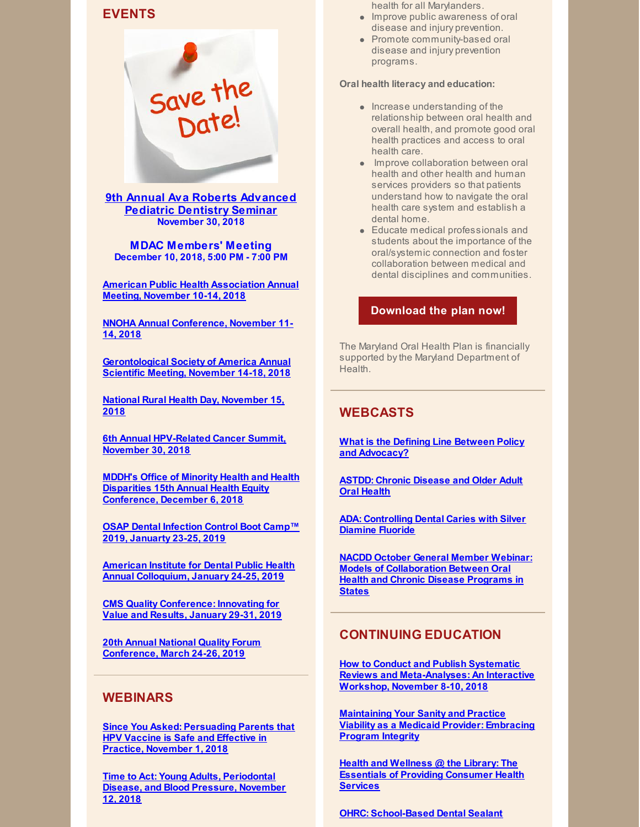# **EVENTS**



**9th Annual Ava Roberts [Advanced](https://9thavarobertsseminar.eventbrite.com) Pediatric Dentistry Seminar November 30, 2018**

**MDAC Members' Meeting December 10, 2018, 5:00 PM - 7:00 PM**

**American Public Health [Association](https://www.apha.org/events-and-meetings/apha-calendar/2018/apha-annual-meeting-and-expo) Annual Meeting, November 10-14, 2018**

**NNOHA Annual [Conference,](http://www.cvent.com/events/2018-nnoha-annual-conference/event-summary-afb52677ee634eeda8443182f1aca9d4.aspx) November 11- 14, 2018**

**[Gerontological](https://www.geron.org/meetings-events/gsa-2018-annual-scientific-meeting) Society of America Annual Scientific Meeting, November 14-18, 2018**

**National Rural Health Day, [November](http://www.powerofrural.org/) 15, 2018**

**6th Annual [HPV-Related](https://www.eventbrite.com/e/6th-annual-hpv-related-cancer-summit-tickets-49905986148?aff=ebdssbdestsearch) Cancer Summit, November 30, 2018**

**MDDH's Office of Minority Health and Health Disparities 15th Annual Health Equity [Conference,](https://health.maryland.gov/mhhd/Pages/home.aspx) December 6, 2018**

**OSAP Dental [Infection](https://www.osap.org/page/2019BootCamp#Register) Control Boot Camp™ 2019, Januarty 23-25, 2019**

**American Institute for Dental Public Health Annual [Colloquium,](http://aidph.org/colloquium) January 24-25, 2019**

**CMS Quality [Conference:](https://bizzell.regfox.com/2019-cms-registration-site) Innovating for Value and Results, January 29-31, 2019**

**20th Annual National Quality Forum [Conference,](http://www.cvent.com/events/2019-national-quality-forum-annual-conference-answering-the-call-results-that-matter-in-quality-and-/event-summary-a145e92db6d04fd28ec370c8ce8d5afc.aspx?RefID=Summary&utm_source=informz&utm_medium=email&utm_campaign=2019_annual_conference) March 24-26, 2019**

#### **WEBINARS**

**Since You Asked: [Persuading](https://events-na5.adobeconnect.com/content/connect/c1/951358841/en/events/event/shared/1480695977/event_registration.html?sco-id=1973365058&_charset_=utf-8) Parents that HPV Vaccine is Safe and Effective in Practice, November 1, 2018**

**Time to Act: Young Adults, [Periodontal](https://register.gotowebinar.com/register/6111001358022633474) Disease, and Blood Pressure, November 12, 2018**

health for all Marylanders.

- Improve public awareness of oral disease and injury prevention.
- Promote community-based oral disease and injury prevention programs.

#### **Oral health literacy and education:**

- $\bullet$  Increase understanding of the relationship between oral health and overall health, and promote good oral health practices and access to oral health care.
- Improve collaboration between oral health and other health and human services providers so that patients understand how to navigate the oral health care system and establish a dental home.
- Educate medical professionals and students about the importance of the oral/systemic connection and foster collaboration between medical and dental disciplines and communities.

#### **[Download](http://www.mdac.us/2018_01_14/MD_OHP_2018_0102.pdf) the plan now!**

The Maryland Oral Health Plan is financially supported bythe Maryland Department of **Health** 

# **WEBCASTS**

**What is the Defining Line Between Policy and [Advocacy?](https://astdd.adobeconnect.com/_a933923135/p80h2cqugap1/?proto=true)**

**ASTDD: Chronic [Disease](https://astdd.adobeconnect.com/_a933923135/pqkumkkq99o5/?proto=true) and Older Adult Oral Health**

**ADA: [Controlling](https://www.youtube.com/watch?v=qlICkK-61ng&feature=youtu.be) Dental Caries with Silver Diamine Fluoride**

**NACDD October General Member Webinar: Models of [Collaboration](https://vimeo.com/297315349) Between Oral Health and Chronic Disease Programs in States**

#### **CONTINUING EDUCATION**

**How to Conduct and Publish Systematic Reviews and [Meta-Analyses:](https://ebd.ada.org/en/education/courses/systematic-reviews?utm_source=pastEBD&utm_content=SRworkshop&utm_medium=email) An Interactive Workshop, November 8-10, 2018**

**[Maintaining](http://ebusiness.ada.org/education/viewcourse.aspx?id=85) Your Sanity and Practice Viability as a Medicaid Provider: Embracing Program Integrity**

**Health and Wellness @ the Library: The Essentials of Providing [Consumer](https://nnlm.gov/classes/healthwellness) Health Services**

**OHRC: [School-Based](https://www.mchoralhealth.org/Dental-Sealant/) Dental Sealant**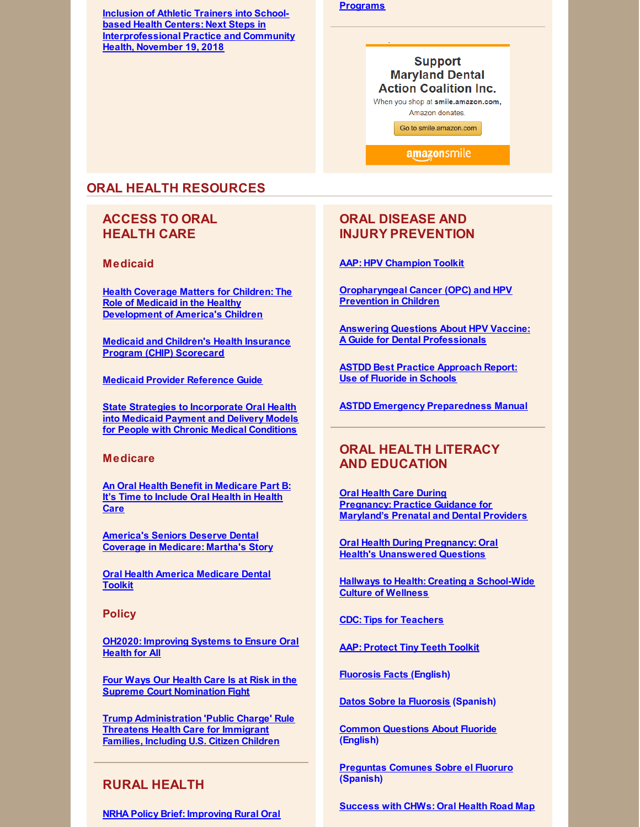**Inclusion of Athletic Trainers into Schoolbased Health Centers: Next Steps in [Interprofessional](https://register.gotowebinar.com/register/151094181481854211) Practice and Community Health, November 19, 2018**

#### **Programs**

# **Support Maryland Dental Action Coalition Inc.**

When you shop at smile.amazon.com, Amazon donates.

Go to smile.amazon.com

amazonsmile

# **ORAL HEALTH RESOURCES**

# **ACCESS TO ORAL HEALTH CARE**

**Medicaid**

**Health Coverage Matters for Children: The Role of Medicaid in the Healthy [Development](https://familiesusa.org/sites/default/files/product_documents/MCD_Medicaid-and-Kids_Issue-Brief.pdf) of America's Children**

**Medicaid and Children's Health Insurance Program (CHIP) [Scorecard](https://www.medicaid.gov/state-overviews/scorecard/index.html)**

**Medicaid Provider [Reference](https://www.ada.org/en/public-programs/action-for-dental-health/strengthening-the-dental-safety-net/medicaid-provider-reference-guide) Guide**

**State Strategies to [Incorporate](https://nashp.org/wp-content/uploads/2018/07/Dentaquest-Report-Final.pdf) Oral Health into Medicaid Payment and Delivery Models for People with Chronic Medical Conditions**

#### **Medicare**

**An Oral Health Benefit in [Medicare](https://familiesusa.org/sites/default/files/product_documents/Medicare_Dental_White_Paper.pdf) Part B: It's Time to Include Oral Health in Health Care**

**[America's](https://familiesusa.org/product/america%E2%80%99s-seniors-deserve-dental-coverage-medicare-martha%E2%80%99s-story) Seniors Deserve Dental Coverage in Medicare: Martha's Story**

**Oral Health America [Medicare](https://oralhealthamerica.org/participate/take-action/medicaretoolkit/) Dental Toolkit**

**Policy**

**OH2020: [Improving](http://files.constantcontact.com/f29af31a201/b628f6ff-e5e8-4aeb-9520-7b92e915a3d9.pdf) Systems to Ensure Oral Health for All**

**Four Ways Our Health Care Is at Risk in the Supreme Court [Nomination](https://familiesusa.org/product/four-ways-our-health-care-risk-supreme-court-nomination-fight) Fight**

**Trump [Administration](https://familiesusa.org/product/trump-administration-threatens-health-care-immigrant-families-including-us-citizen-children) 'Public Charge' Rule Threatens Health Care for Immigrant Families, Including U.S. Citizen Children**

# **RURAL HEALTH**

**NRHA Policy Brief: [Improving](https://www.ruralhealthweb.org/NRHA/media/Emerge_NRHA/Advocacy/Policy documents/05-11-18-NRHA-Policy-Improving-Rural-Oral-Health-Access.pdf) Rural Oral**

### **ORAL DISEASE AND INJURY PREVENTION**

**AAP: HPV [Champion](https://www.aap.org/en-us/advocacy-and-policy/aap-health-initiatives/immunizations/HPV-Champion-Toolkit/Pages/HPV-Champion-Toolkit.aspx?utm_source=MagMail&utm_medium=email&utm_term=dteigiser@mdac.us&utm_content=Campaign for Dental Health %28August 2018%29&utm_campaign=Life is Better With Teeth - August 2018) Toolkit**

**[Oropharyngeal](https://www.aap.org/en-us/Documents/AAP_OPC_HPV_5KeyPoints_final.pdf?utm_source=MagMail&utm_medium=email&utm_term=dteigiser@mdac.us&utm_content=Campaign for Dental Health %28August 2018%29&utm_campaign=Life is Better With Teeth - August 2018) Cancer (OPC) and HPV Prevention in Children**

**Answering Questions About HPV Vaccine: A Guide for Dental [Professionals](https://www.aap.org/en-us/Documents/AAP_OPCHPV_WhatDentalProsNeedToKnow_final.pdf?utm_source=MagMail&utm_medium=email&utm_term=dteigiser@mdac.us&utm_content=Campaign for Dental Health %28August 2018%29&utm_campaign=Life is Better With Teeth - August 2018)**

**ASTDD Best Practice [Approach](https://www.astdd.org/use-of-fluoride-in-schools/) Report: Use of Fluoride in Schools**

**ASTDD Emergency [Preparedness](https://www.astdd.org/emergency-preparedness-manual/) Manual**

# **ORAL HEALTH LITERACY AND EDUCATION**

**Oral Health Care During [Pregnancy:](https://phpa.health.maryland.gov/oralhealth/Pages/Oral_Health_and_Pregnancy.aspx) Practice Guidance for Maryland's Prenatal and Dental Providers**

**Oral Health During Pregnancy: Oral Health's [Unanswered](https://s3.amazonaws.com/cdhp/UQ+Brief+series/CDHP_IB_Final+Version.pdf) Questions**

**Hallways to Health: Creating a [School-Wide](https://tools.sbh4all.org/t/hallways-to-health/) Culture of Wellness**

**CDC: Tips for [Teachers](https://www.cdc.gov/healthyschools/npao/pdf/tips-for-teachers.pdf)**

**AAP: [Protect](https://www.aap.org/en-us/about-the-aap/aap-press-room/campaigns/tiny-teeth/Pages/default.aspx?utm_source=MagMail&utm_medium=email&utm_term=hrussinof@aap.org&utm_content=SOOH Newsletter August 2018&utm_campaign=AAP Section on Oral Health Newsletter - August 2018) Tiny Teeth Toolkit**

**[Fluorosis](https://ilikemyteeth.org/wp-content/uploads/2014/10/FluorosisFactsForFamilies.pdf) Facts (English)**

**Datos Sobre la [Fluorosis](https://ilikemyteeth.org/wp-content/uploads/2014/12/FluorosisFactsForFamilies-Spanish.pdf) (Spanish)**

**Common [Questions](https://ilikemyteeth.org/wp-content/uploads/2018/06/CommonQuestionsAboutFluoride.pdf) About Fluoride (English)**

**[Preguntas](https://ilikemyteeth.org/wp-content/uploads/2014/12/CommonQuestionsAboutFluoride-Spanish.pdf) Comunes Sobre el Fluoruro (Spanish)**

**[Success](http://mnchwalliance.org/wp-content/uploads/2012/12/Oral_Health_Road_Map_FINAL.pdf) with CHWs: Oral Health Road Map**